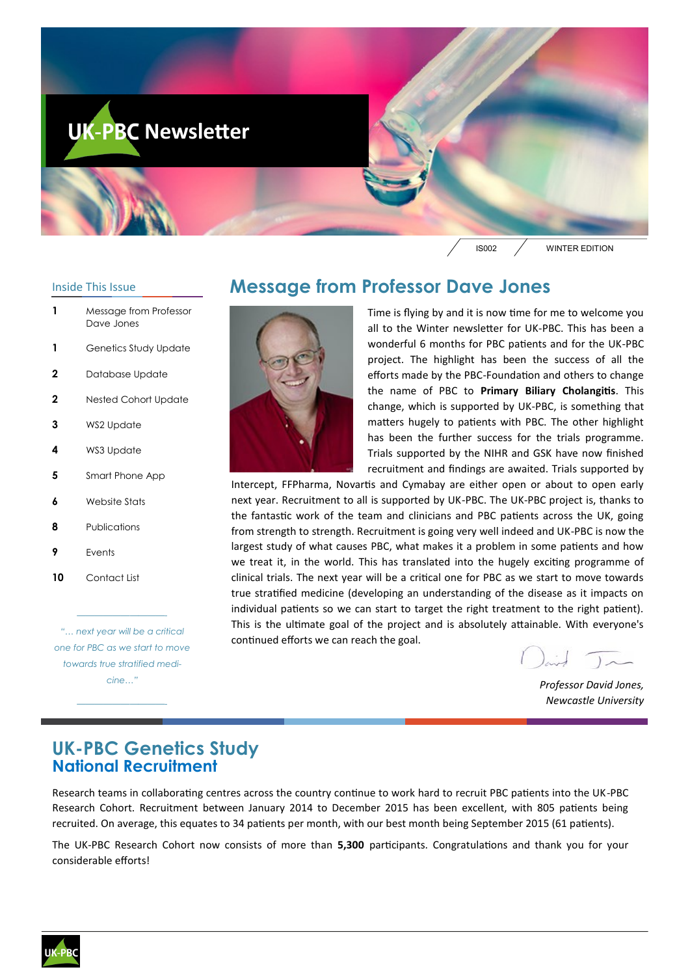

#### Inside This Issue

- **1** Message from Professor Dave Jones
- **1** Genetics Study Update
- **2** Database Update
- **2** Nested Cohort Update
- **3** WS2 Update
- **4** WS3 Update
- **5** Smart Phone App
- **6** Website Stats
- **8** Publications
- **9** Events
- **10** Contact List

*"… next year will be a critical one for PBC as we start to move towards true stratified medicine…"*

*——————————-*

*——————————-*

## **Message from Professor Dave Jones**



Time is flying by and it is now time for me to welcome you all to the Winter newsletter for UK-PBC. This has been a wonderful 6 months for PBC patients and for the UK-PBC project. The highlight has been the success of all the efforts made by the PBC-Foundation and others to change the name of PBC to **Primary Biliary Cholangitis**. This change, which is supported by UK-PBC, is something that matters hugely to patients with PBC. The other highlight has been the further success for the trials programme. Trials supported by the NIHR and GSK have now finished recruitment and findings are awaited. Trials supported by

Intercept, FFPharma, Novartis and Cymabay are either open or about to open early next year. Recruitment to all is supported by UK-PBC. The UK-PBC project is, thanks to the fantastic work of the team and clinicians and PBC patients across the UK, going from strength to strength. Recruitment is going very well indeed and UK-PBC is now the largest study of what causes PBC, what makes it a problem in some patients and how we treat it, in the world. This has translated into the hugely exciting programme of clinical trials. The next year will be a critical one for PBC as we start to move towards true stratified medicine (developing an understanding of the disease as it impacts on individual patients so we can start to target the right treatment to the right patient). This is the ultimate goal of the project and is absolutely attainable. With everyone's continued efforts we can reach the goal.

*Professor David Jones, Newcastle University*

### **UK-PBC Genetics Study National Recruitment**

Research teams in collaborating centres across the country continue to work hard to recruit PBC patients into the UK-PBC Research Cohort. Recruitment between January 2014 to December 2015 has been excellent, with 805 patients being recruited. On average, this equates to 34 patients per month, with our best month being September 2015 (61 patients).

The UK-PBC Research Cohort now consists of more than **5,300** participants. Congratulations and thank you for your considerable efforts!

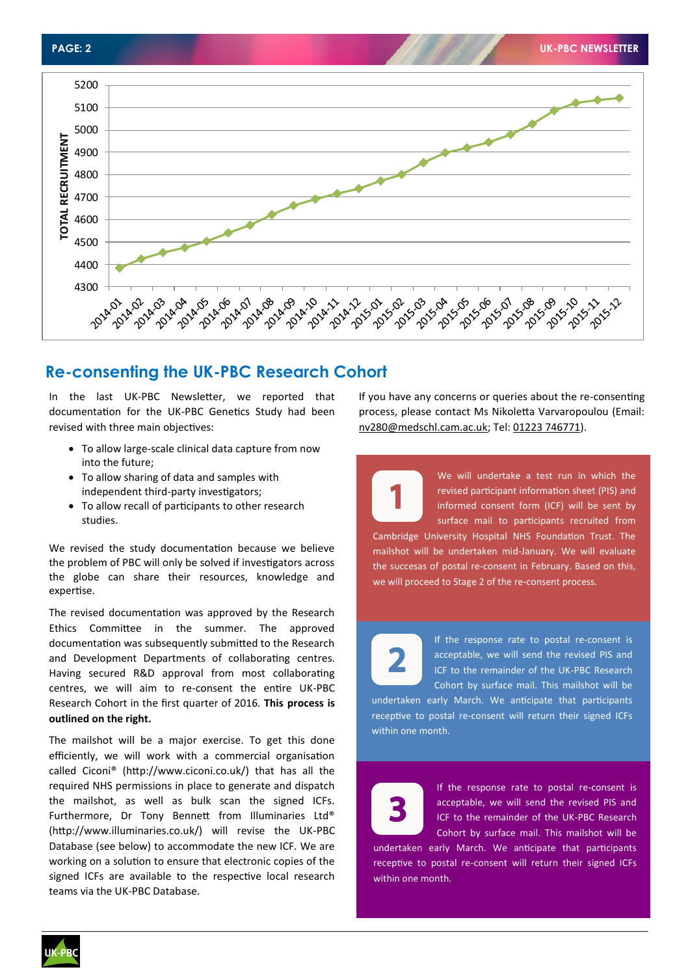

## **Re-consenting the UK-PBC Research Cohort**

In the last UK-PBC Newsletter, we reported that documentation for the UK-PBC Genetics Study had been revised with three main objectives:

- To allow large-scale clinical data capture from now into the future;
- To allow sharing of data and samples with independent third-party investigators;
- To allow recall of participants to other research studies.

We revised the study documentation because we believe the problem of PBC will only be solved if investigators across the globe can share their resources, knowledge and expertise.

The revised documentation was approved by the Research Ethics Committee in the summer. The approved documentation was subsequently submitted to the Research and Development Departments of collaborating centres. Having secured R&D approval from most collaborating centres, we will aim to re-consent the entire UK-PBC Research Cohort in the first quarter of 2016. **This process is outlined on the right.**

The mailshot will be a major exercise. To get this done efficiently, we will work with a commercial organisation called Ciconi® (http://www.ciconi.co.uk/) that has all the required NHS permissions in place to generate and dispatch the mailshot, as well as bulk scan the signed ICFs. Furthermore, Dr Tony Bennett from Illuminaries Ltd® (http://www.illuminaries.co.uk/) will revise the UK-PBC Database (see below) to accommodate the new ICF. We are working on a solution to ensure that electronic copies of the signed ICFs are available to the respective local research teams via the UK-PBC Database.

If you have any concerns or queries about the re-consenting process, please contact Ms Nikoletta Varvaropoulou (Email: nv280@medschl.cam.ac.uk; Tel: 01223 746771).

> We will undertake a test run in which the revised participant information sheet (PIS) and informed consent form (ICF) will be sent by surface mail to participants recruited from

Cambridge University Hospital NHS Foundation Trust. The mailshot will be undertaken mid-January. We will evaluate the succesas of postal re-consent in February. Based on this, we will proceed to Stage 2 of the re-consent process.



If the response rate to postal re-consent is acceptable, we will send the revised PIS and ICF to the remainder of the UK-PBC Research Cohort by surface mail. This mailshot will be

undertaken early March. We anticipate that participants receptive to postal re-consent will return their signed ICFs within one month.



If the response rate to postal re-consent is acceptable, we will send the revised PIS and ICF to the remainder of the UK-PBC Research Cohort by surface mail. This mailshot will be

undertaken early March. We anticipate that participants receptive to postal re-consent will return their signed ICFs within one month.

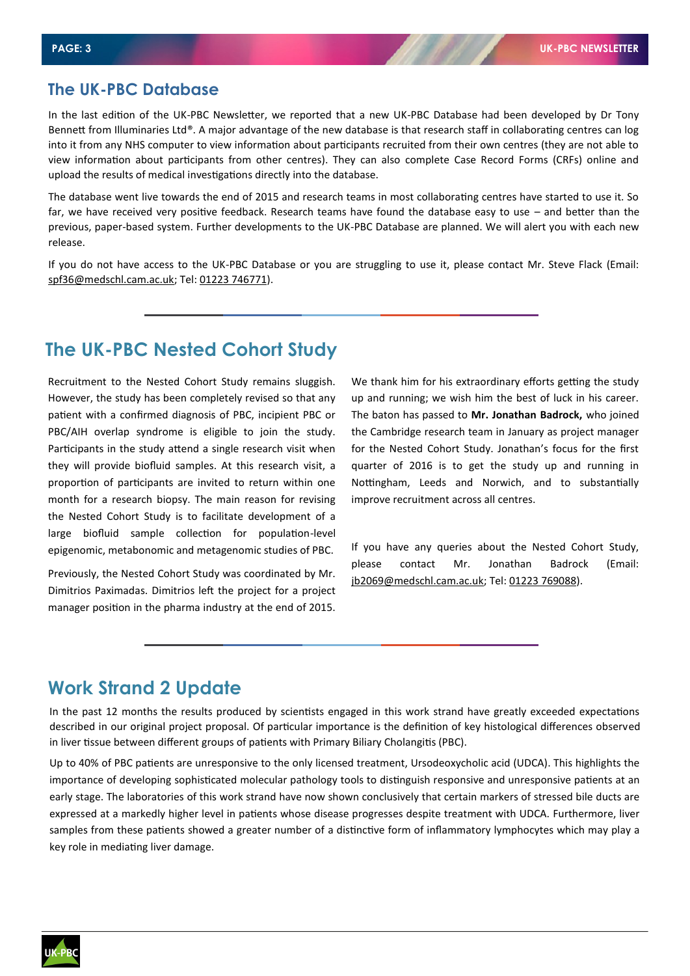#### **The UK-PBC Database**

In the last edition of the UK-PBC Newsletter, we reported that a new UK-PBC Database had been developed by Dr Tony Bennett from Illuminaries Ltd®. A major advantage of the new database is that research staff in collaborating centres can log into it from any NHS computer to view information about participants recruited from their own centres (they are not able to view information about participants from other centres). They can also complete Case Record Forms (CRFs) online and upload the results of medical investigations directly into the database.

The database went live towards the end of 2015 and research teams in most collaborating centres have started to use it. So far, we have received very positive feedback. Research teams have found the database easy to use – and better than the previous, paper-based system. Further developments to the UK-PBC Database are planned. We will alert you with each new release.

If you do not have access to the UK-PBC Database or you are struggling to use it, please contact Mr. Steve Flack (Email: spf36@medschl.cam.ac.uk; Tel: 01223 746771).

## **The UK-PBC Nested Cohort Study**

Recruitment to the Nested Cohort Study remains sluggish. However, the study has been completely revised so that any patient with a confirmed diagnosis of PBC, incipient PBC or PBC/AIH overlap syndrome is eligible to join the study. Participants in the study attend a single research visit when they will provide biofluid samples. At this research visit, a proportion of participants are invited to return within one month for a research biopsy. The main reason for revising the Nested Cohort Study is to facilitate development of a large biofluid sample collection for population-level epigenomic, metabonomic and metagenomic studies of PBC.

Previously, the Nested Cohort Study was coordinated by Mr. Dimitrios Paximadas. Dimitrios left the project for a project manager position in the pharma industry at the end of 2015.

We thank him for his extraordinary efforts getting the study up and running; we wish him the best of luck in his career. The baton has passed to **Mr. Jonathan Badrock,** who joined the Cambridge research team in January as project manager for the Nested Cohort Study. Jonathan's focus for the first quarter of 2016 is to get the study up and running in Nottingham, Leeds and Norwich, and to substantially improve recruitment across all centres.

If you have any queries about the Nested Cohort Study, please contact Mr. Jonathan Badrock (Email: jb2069@medschl.cam.ac.uk; Tel: 01223 769088).

## **Work Strand 2 Update**

In the past 12 months the results produced by scientists engaged in this work strand have greatly exceeded expectations described in our original project proposal. Of particular importance is the definition of key histological differences observed in liver tissue between different groups of patients with Primary Biliary Cholangitis (PBC).

Up to 40% of PBC patients are unresponsive to the only licensed treatment, Ursodeoxycholic acid (UDCA). This highlights the importance of developing sophisticated molecular pathology tools to distinguish responsive and unresponsive patients at an early stage. The laboratories of this work strand have now shown conclusively that certain markers of stressed bile ducts are expressed at a markedly higher level in patients whose disease progresses despite treatment with UDCA. Furthermore, liver samples from these patients showed a greater number of a distinctive form of inflammatory lymphocytes which may play a key role in mediating liver damage.

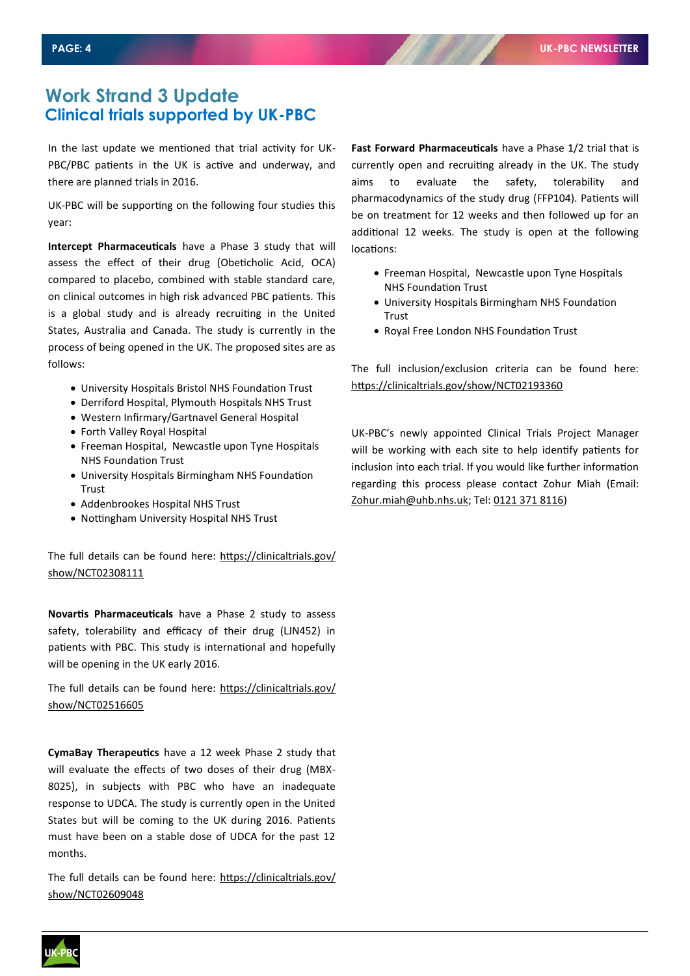## **Work Strand 3 Update Clinical trials supported by UK-PBC**

In the last update we mentioned that trial activity for UK-PBC/PBC patients in the UK is active and underway, and there are planned trials in 2016.

UK-PBC will be supporting on the following four studies this year:

**Intercept Pharmaceuticals** have a Phase 3 study that will assess the effect of their drug (Obeticholic Acid, OCA) compared to placebo, combined with stable standard care, on clinical outcomes in high risk advanced PBC patients. This is a global study and is already recruiting in the United States, Australia and Canada. The study is currently in the process of being opened in the UK. The proposed sites are as follows:

- University Hospitals Bristol NHS Foundation Trust
- Derriford Hospital, Plymouth Hospitals NHS Trust
- Western Infirmary/Gartnavel General Hospital
- Forth Valley Royal Hospital
- Freeman Hospital, Newcastle upon Tyne Hospitals NHS Foundation Trust
- University Hospitals Birmingham NHS Foundation Trust
- Addenbrookes Hospital NHS Trust
- Nottingham University Hospital NHS Trust

The full details can be found here: https://clinicaltrials.gov/ show/NCT02308111

**Novartis Pharmaceuticals** have a Phase 2 study to assess safety, tolerability and efficacy of their drug (LJN452) in patients with PBC. This study is international and hopefully will be opening in the UK early 2016.

The full details can be found here: https://clinicaltrials.gov/ show/NCT02516605

**CymaBay Therapeutics** have a 12 week Phase 2 study that will evaluate the effects of two doses of their drug (MBX-8025), in subjects with PBC who have an inadequate response to UDCA. The study is currently open in the United States but will be coming to the UK during 2016. Patients must have been on a stable dose of UDCA for the past 12 months.

The full details can be found here: https://clinicaltrials.gov/ show/NCT02609048

**Fast Forward Pharmaceuticals** have a Phase 1/2 trial that is currently open and recruiting already in the UK. The study aims to evaluate the safety, tolerability and pharmacodynamics of the study drug (FFP104). Patients will be on treatment for 12 weeks and then followed up for an additional 12 weeks. The study is open at the following locations:

- Freeman Hospital, Newcastle upon Tyne Hospitals NHS Foundation Trust
- University Hospitals Birmingham NHS Foundation Trust
- Royal Free London NHS Foundation Trust

The full inclusion/exclusion criteria can be found here: https://clinicaltrials.gov/show/NCT02193360

UK-PBC's newly appointed Clinical Trials Project Manager will be working with each site to help identify patients for inclusion into each trial. If you would like further information regarding this process please contact Zohur Miah (Email: Zohur.miah@uhb.nhs.uk; Tel: 0121 371 8116)

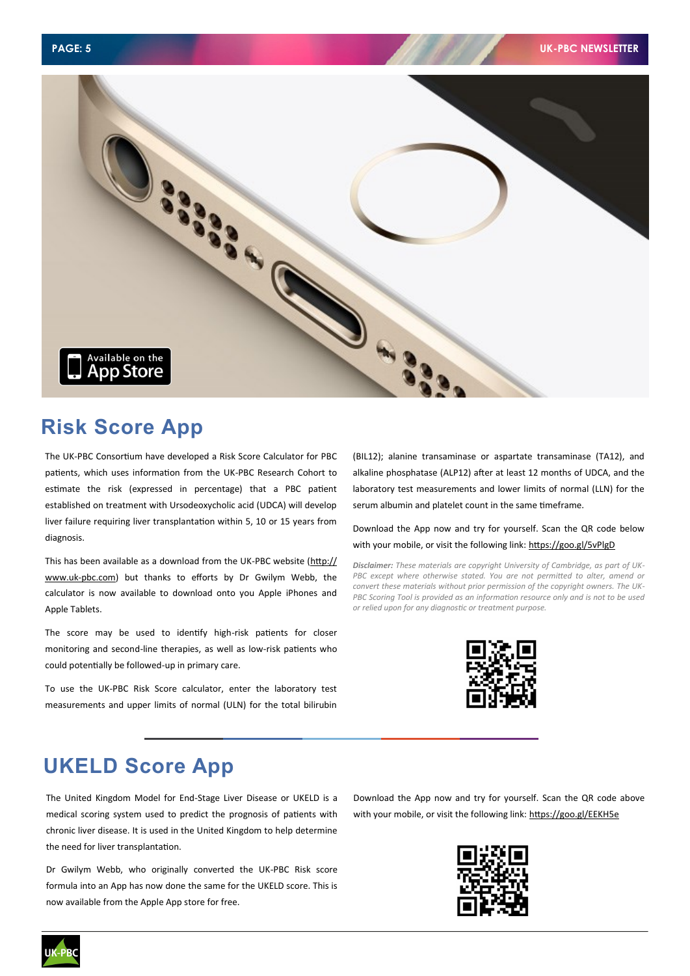

# **Risk Score App**

The UK-PBC Consortium have developed a Risk Score Calculator for PBC patients, which uses information from the UK-PBC Research Cohort to estimate the risk (expressed in percentage) that a PBC patient established on treatment with Ursodeoxycholic acid (UDCA) will develop liver failure requiring liver transplantation within 5, 10 or 15 years from diagnosis.

This has been available as a download from the UK-PBC website ([http://](http://www.uk-pbc.com) www.uk-[pbc.com\)](http://www.uk-pbc.com) but thanks to efforts by Dr Gwilym Webb, the calculator is now available to download onto you Apple iPhones and Apple Tablets.

The score may be used to identify high-risk patients for closer monitoring and second-line therapies, as well as low-risk patients who could potentially be followed-up in primary care.

To use the UK-PBC Risk Score calculator, enter the laboratory test measurements and upper limits of normal (ULN) for the total bilirubin (BIL12); alanine transaminase or aspartate transaminase (TA12), and alkaline phosphatase (ALP12) after at least 12 months of UDCA, and the laboratory test measurements and lower limits of normal (LLN) for the serum albumin and platelet count in the same timeframe.

Download the App now and try for yourself. Scan the QR code below with your mobile, or visit the following link:<https://goo.gl/5vPlgD>

*Disclaimer: These materials are copyright University of Cambridge, as part of UK-*PBC except where otherwise stated. You are not permitted to alter, amend or *convert these materials without prior permission of the copyright owners. The UK-PBC Scoring Tool is provided as an information resource only and is not to be used or relied upon for any diagnostic or treatment purpose.* 



# **UKELD Score App**

The United Kingdom Model for End-Stage Liver Disease or UKELD is a medical scoring system used to predict the prognosis of patients with chronic liver disease. It is used in the United Kingdom to help determine the need for liver transplantation.

Dr Gwilym Webb, who originally converted the UK-PBC Risk score formula into an App has now done the same for the UKELD score. This is now available from the Apple App store for free.

Download the App now and try for yourself. Scan the QR code above with your mobile, or visit the following link: <https://goo.gl/EEKH5e>



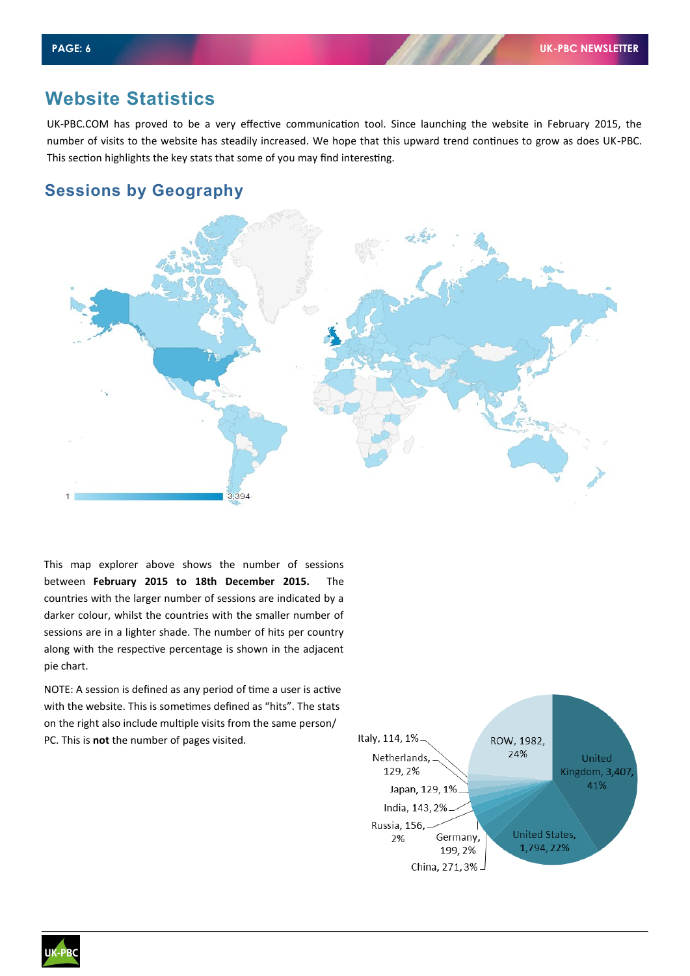## **Website Statistics**

UK-PBC.COM has proved to be a very effective communication tool. Since launching the website in February 2015, the number of visits to the website has steadily increased. We hope that this upward trend continues to grow as does UK-PBC. This section highlights the key stats that some of you may find interesting.

#### **Sessions by Geography**



This map explorer above shows the number of sessions between **February 2015 to 18th December 2015.** The countries with the larger number of sessions are indicated by a darker colour, whilst the countries with the smaller number of sessions are in a lighter shade. The number of hits per country along with the respective percentage is shown in the adjacent pie chart.

NOTE: A session is defined as any period of time a user is active with the website. This is sometimes defined as "hits". The stats on the right also include multiple visits from the same person/ PC. This is **not** the number of pages visited.



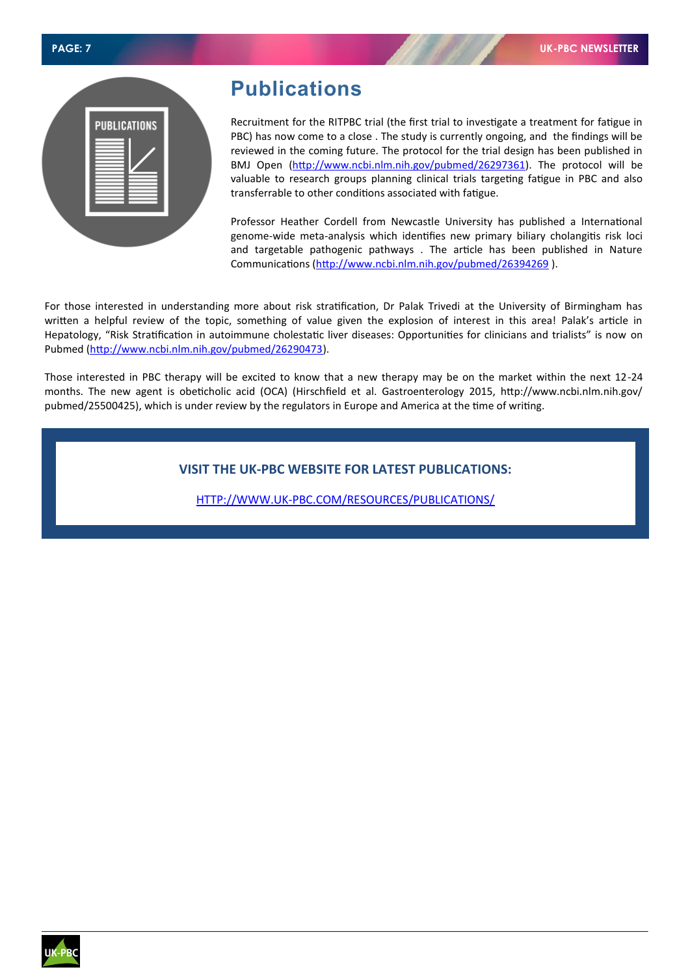|  |  | <b>PAGE: 7</b> |  |  |
|--|--|----------------|--|--|
|--|--|----------------|--|--|

| <b>PUBLICATIONS</b> |  |
|---------------------|--|
|                     |  |
|                     |  |
|                     |  |

## **Publications**

Recruitment for the RITPBC trial (the first trial to investigate a treatment for fatigue in PBC) has now come to a close . The study is currently ongoing, and the findings will be reviewed in the coming future. The protocol for the trial design has been published in BMJ Open [\(http://www.ncbi.nlm.nih.gov/pubmed/26297361\)](http://www.ncbi.nlm.nih.gov/pubmed/26297361). The protocol will be valuable to research groups planning clinical trials targeting fatigue in PBC and also transferrable to other conditions associated with fatigue.

Professor Heather Cordell from Newcastle University has published a International genome-wide meta-analysis which identifies new primary biliary cholangitis risk loci and targetable pathogenic pathways . The article has been published in Nature Communications (<http://www.ncbi.nlm.nih.gov/pubmed/26394269> ).

For those interested in understanding more about risk stratification, Dr Palak Trivedi at the University of Birmingham has written a helpful review of the topic, something of value given the explosion of interest in this area! Palak's article in Hepatology, "Risk Stratification in autoimmune cholestatic liver diseases: Opportunities for clinicians and trialists" is now on Pubmed ([http://www.ncbi.nlm.nih.gov/pubmed/26290473\).](http://www.ncbi.nlm.nih.gov/pubmed/26290473)

Those interested in PBC therapy will be excited to know that a new therapy may be on the market within the next 12-24 months. The new agent is obeticholic acid (OCA) (Hirschfield et al. Gastroenterology 2015, http://www.ncbi.nlm.nih.gov/ pubmed/25500425), which is under review by the regulators in Europe and America at the time of writing.

#### **VISIT THE UK-PBC WEBSITE FOR LATEST PUBLICATIONS:**

HTTP://WWW.UK-[PBC.COM/RESOURCES/PUBLICATIONS/](http://www.uk-pbc.com/resources/publications/)

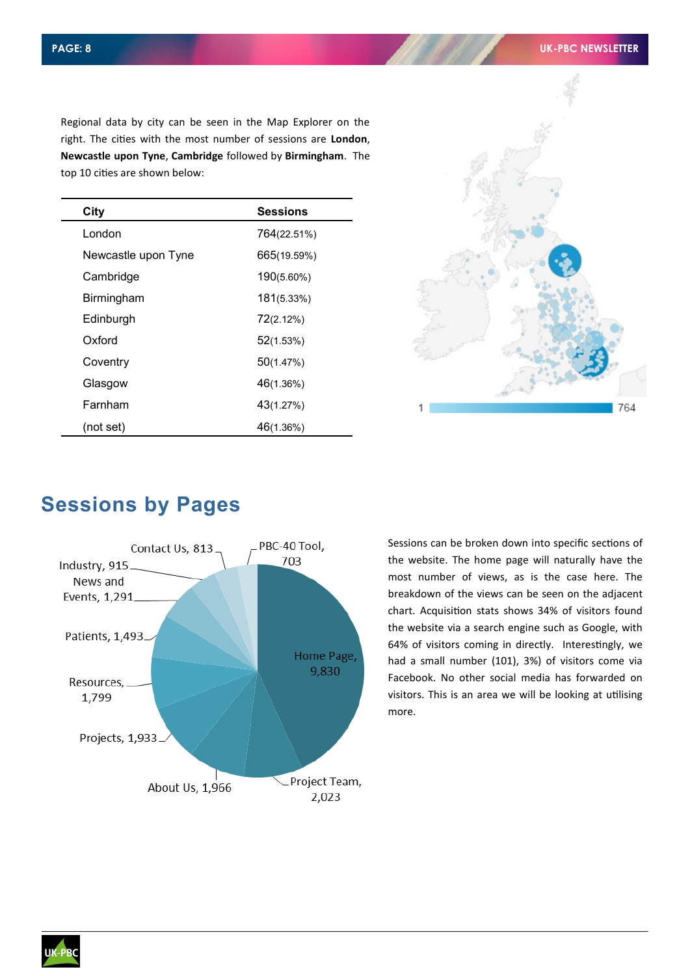Regional data by city can be seen in the Map Explorer on the right. The cities with the most number of sessions are **London**, **Newcastle upon Tyne**, **Cambridge** followed by **Birmingham**. The top 10 cities are shown below:

| City                | <b>Sessions</b> |
|---------------------|-----------------|
| London              | 764(22.51%)     |
| Newcastle upon Tyne | 665(19.59%)     |
| Cambridge           | 190(5.60%)      |
| Birmingham          | 181(5.33%)      |
| Edinburgh           | 72(2.12%)       |
| Oxford              | 52(1.53%)       |
| Coventry            | 50(1.47%)       |
| Glasgow             | 46(1.36%)       |
| Farnham             | 43(1.27%)       |
| (not set)           | 46(1.36%)       |



# **Sessions by Pages**



Sessions can be broken down into specific sections of the website. The home page will naturally have the most number of views, as is the case here. The breakdown of the views can be seen on the adjacent chart. Acquisition stats shows 34% of visitors found the website via a search engine such as Google, with 64% of visitors coming in directly. Interestingly, we had a small number (101), 3%) of visitors come via Facebook. No other social media has forwarded on visitors. This is an area we will be looking at utilising more.

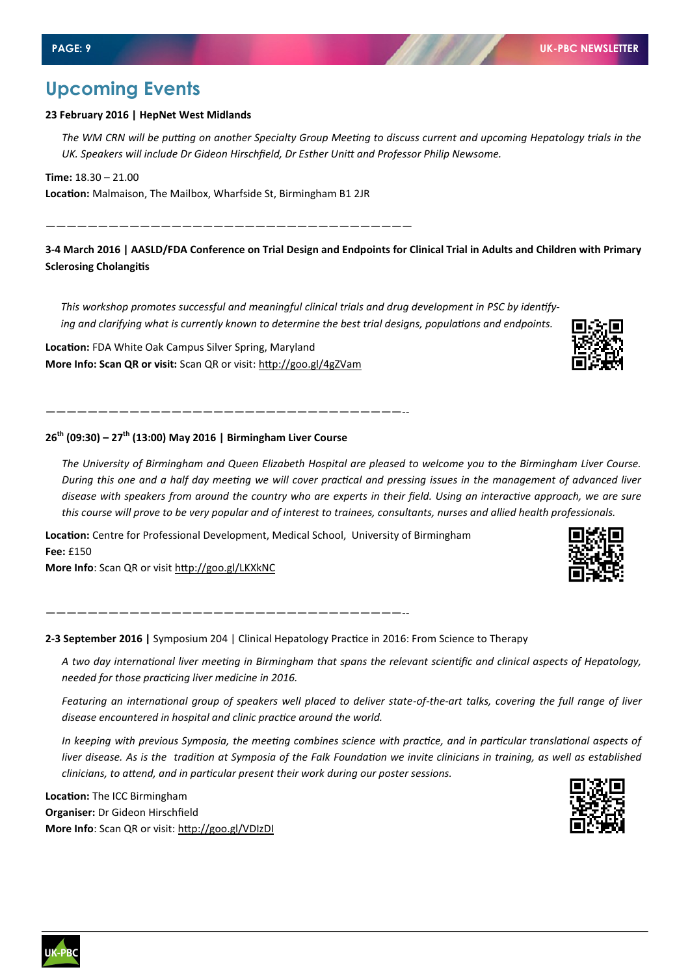## **Upcoming Events**

#### **23 February 2016 | HepNet West Midlands**

*The WM CRN will be putting on another Specialty Group Meeting to discuss current and upcoming Hepatology trials in the UK. Speakers will include Dr Gideon Hirschfield, Dr Esther Unitt and Professor Philip Newsome.*

**Time:** 18.30 – 21.00

**Location:** Malmaison, The Mailbox, Wharfside St, Birmingham B1 2JR

———————————————————————————————————

**3-4 March 2016 | AASLD/FDA Conference on Trial Design and Endpoints for Clinical Trial in Adults and Children with Primary Sclerosing Cholangitis** 

*This workshop promotes successful and meaningful clinical trials and drug development in PSC by identifying and clarifying what is currently known to determine the best trial designs, populations and endpoints.*

**Location:** FDA White Oak Campus Silver Spring, Maryland **More Info: Scan QR or visit:** Scan QR or visit: http://goo.gl/4gZVam

——————————————————————————————————--

——————————————————————————————————--

**26th (09:30) – 27th (13:00) May 2016 | Birmingham Liver Course**

*The University of Birmingham and Queen Elizabeth Hospital are pleased to welcome you to the Birmingham Liver Course. During this one and a half day meeting we will cover practical and pressing issues in the management of advanced liver disease with speakers from around the country who are experts in their field. Using an interactive approach, we are sure this course will prove to be very popular and of interest to trainees, consultants, nurses and allied health professionals.*

**Location:** Centre for Professional Development, Medical School, University of Birmingham **Fee:** £150

**More Info**: Scan QR or visit <http://goo.gl/LKXkNC>

**2-3 September 2016 |** Symposium 204 | Clinical Hepatology Practice in 2016: From Science to Therapy

*A two day international liver meeting in Birmingham that spans the relevant scientific and clinical aspects of Hepatology, needed for those practicing liver medicine in 2016.*

*Featuring an international group of speakers well placed to deliver state-of-the-art talks, covering the full range of liver disease encountered in hospital and clinic practice around the world.*

*In keeping with previous Symposia, the meeting combines science with practice, and in particular translational aspects of liver disease. As is the tradition at Symposia of the Falk Foundation we invite clinicians in training, as well as established clinicians, to attend, and in particular present their work during our poster sessions.*

**Location:** The ICC Birmingham **Organiser:** Dr Gideon Hirschfield **More Info**: Scan QR or visit: <http://goo.gl/VDIzDI>